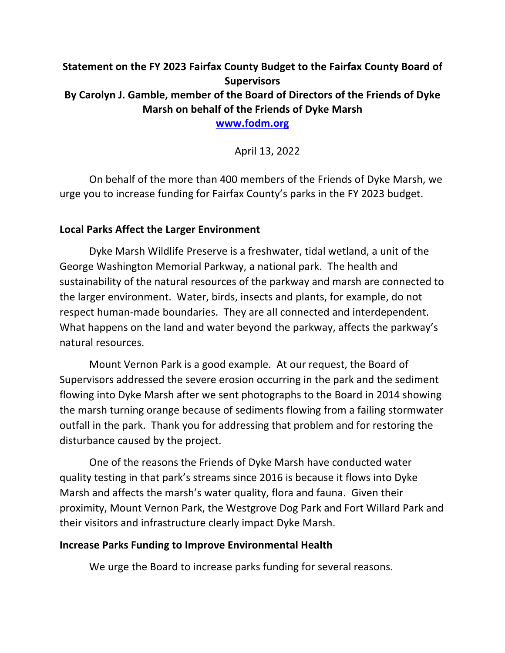# **Statement on the FY 2023 Fairfax County Budget to the Fairfax County Board of Supervisors By Carolyn J. Gamble, member of the Board of Directors of the Friends of Dyke Marsh on behalf of the Friends of Dyke Marsh www.fodm.org**

April 13, 2022

On behalf of the more than 400 members of the Friends of Dyke Marsh, we urge you to increase funding for Fairfax County's parks in the FY 2023 budget.

#### **Local Parks Affect the Larger Environment**

Dyke Marsh Wildlife Preserve is a freshwater, tidal wetland, a unit of the George Washington Memorial Parkway, a national park. The health and sustainability of the natural resources of the parkway and marsh are connected to the larger environment. Water, birds, insects and plants, for example, do not respect human-made boundaries. They are all connected and interdependent. What happens on the land and water beyond the parkway, affects the parkway's natural resources.

Mount Vernon Park is a good example. At our request, the Board of Supervisors addressed the severe erosion occurring in the park and the sediment flowing into Dyke Marsh after we sent photographs to the Board in 2014 showing the marsh turning orange because of sediments flowing from a failing stormwater outfall in the park. Thank you for addressing that problem and for restoring the disturbance caused by the project.

One of the reasons the Friends of Dyke Marsh have conducted water quality testing in that park's streams since 2016 is because it flows into Dyke Marsh and affects the marsh's water quality, flora and fauna. Given their proximity, Mount Vernon Park, the Westgrove Dog Park and Fort Willard Park and their visitors and infrastructure clearly impact Dyke Marsh.

#### **Increase Parks Funding to Improve Environmental Health**

We urge the Board to increase parks funding for several reasons.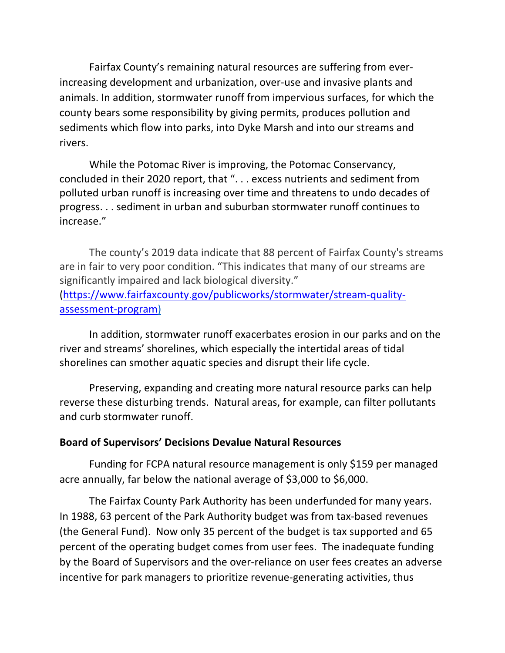Fairfax County's remaining natural resources are suffering from everincreasing development and urbanization, over-use and invasive plants and animals. In addition, stormwater runoff from impervious surfaces, for which the county bears some responsibility by giving permits, produces pollution and sediments which flow into parks, into Dyke Marsh and into our streams and rivers.

While the Potomac River is improving, the Potomac Conservancy, concluded in their 2020 report, that ". . . excess nutrients and sediment from polluted urban runoff is increasing over time and threatens to undo decades of progress. . . sediment in urban and suburban stormwater runoff continues to increase."

The county's 2019 data indicate that 88 percent of Fairfax County's streams are in fair to very poor condition. "This indicates that many of our streams are significantly impaired and lack biological diversity."

[\(https://www.fairfaxcounty.gov/publicworks/stormwater/stream-quality](https://www.fairfaxcounty.gov/publicworks/stormwater/stream-quality-assessment-program)assessment-program)

In addition, stormwater runoff exacerbates erosion in our parks and on the river and streams' shorelines, which especially the intertidal areas of tidal shorelines can smother aquatic species and disrupt their life cycle.

Preserving, expanding and creating more natural resource parks can help reverse these disturbing trends. Natural areas, for example, can filter pollutants and curb stormwater runoff.

## **Board of Supervisors' Decisions Devalue Natural Resources**

Funding for FCPA natural resource management is only \$159 per managed acre annually, far below the national average of \$3,000 to \$6,000.

The Fairfax County Park Authority has been underfunded for many years. In 1988, 63 percent of the Park Authority budget was from tax-based revenues (the General Fund). Now only 35 percent of the budget is tax supported and 65 percent of the operating budget comes from user fees. The inadequate funding by the Board of Supervisors and the over-reliance on user fees creates an adverse incentive for park managers to prioritize revenue-generating activities, thus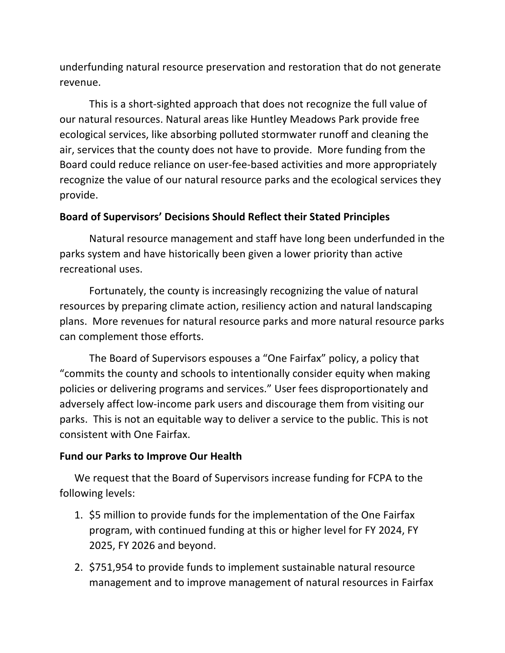underfunding natural resource preservation and restoration that do not generate revenue.

This is a short-sighted approach that does not recognize the full value of our natural resources. Natural areas like Huntley Meadows Park provide free ecological services, like absorbing polluted stormwater runoff and cleaning the air, services that the county does not have to provide. More funding from the Board could reduce reliance on user-fee-based activities and more appropriately recognize the value of our natural resource parks and the ecological services they provide.

# **Board of Supervisors' Decisions Should Reflect their Stated Principles**

Natural resource management and staff have long been underfunded in the parks system and have historically been given a lower priority than active recreational uses.

Fortunately, the county is increasingly recognizing the value of natural resources by preparing climate action, resiliency action and natural landscaping plans. More revenues for natural resource parks and more natural resource parks can complement those efforts.

The Board of Supervisors espouses a "One Fairfax" policy, a policy that "commits the county and schools to intentionally consider equity when making policies or delivering programs and services." User fees disproportionately and adversely affect low-income park users and discourage them from visiting our parks. This is not an equitable way to deliver a service to the public. This is not consistent with One Fairfax.

## **Fund our Parks to Improve Our Health**

We request that the Board of Supervisors increase funding for FCPA to the following levels:

- 1. \$5 million to provide funds for the implementation of the One Fairfax program, with continued funding at this or higher level for FY 2024, FY 2025, FY 2026 and beyond.
- 2. \$751,954 to provide funds to implement sustainable natural resource management and to improve management of natural resources in Fairfax